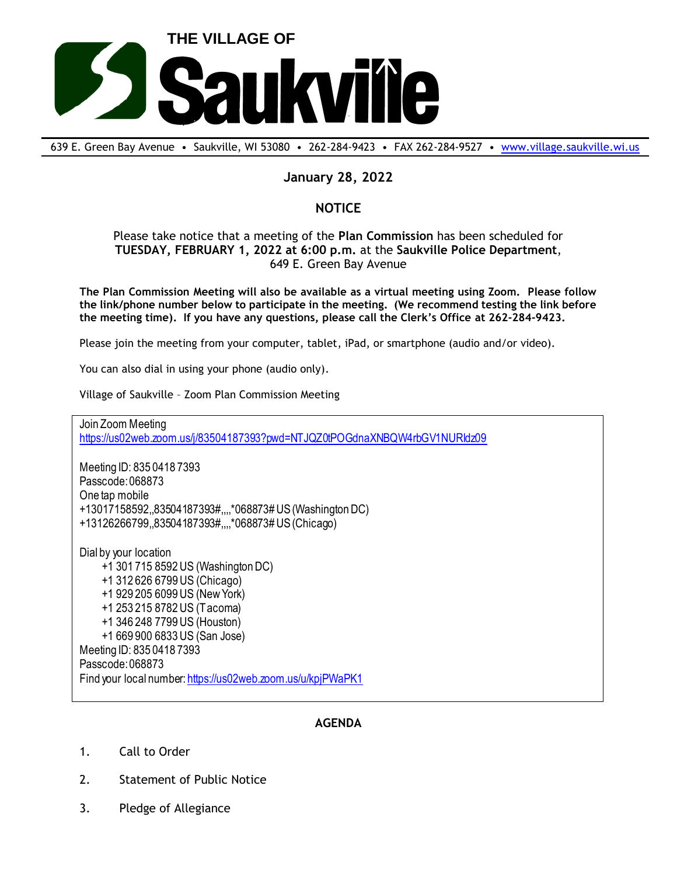

639 E. Green Bay Avenue • Saukville, WI 53080 • 262-284-9423 • FAX 262-284-9527 • [www.village.saukville.wi.us](http://www.village.saukville.wi.us/)

## **January 28, 2022**

## **NOTICE**

Please take notice that a meeting of the **Plan Commission** has been scheduled for **TUESDAY, FEBRUARY 1, 2022 at 6:00 p.m.** at the **Saukville Police Department**, 649 E. Green Bay Avenue

**The Plan Commission Meeting will also be available as a virtual meeting using Zoom. Please follow the link/phone number below to participate in the meeting. (We recommend testing the link before the meeting time). If you have any questions, please call the Clerk's Office at 262-284-9423.**

Please join the meeting from your computer, tablet, iPad, or smartphone (audio and/or video).

You can also dial in using your phone (audio only).

Village of Saukville – Zoom Plan Commission Meeting

Join Zoom Meeting https://us02web.zoom.us/j/83504187393?pwd=NTJQZ0tPOGdnaXNBQW4rbGV1NURldz09

Meeting ID: 835 0418 7393 Passcode: 068873 One tap mobile +13017158592,,83504187393#,,,,\*068873# US (Washington DC) +13126266799,,83504187393#,,,,\*068873# US (Chicago)

Dial by your location +1 301 715 8592 US (Washington DC) +1 312 626 6799 US (Chicago) +1 929 205 6099 US (New York) +1 253 215 8782 US (Tacoma) +1 346 248 7799 US (Houston) +1 669 900 6833 US (San Jose) Meeting ID: 835 0418 7393 Passcode: 068873 Find your local number: https://us02web.zoom.us/u/kpjPWaPK1

## **AGENDA**

- 1. Call to Order
- 2. Statement of Public Notice
- 3. Pledge of Allegiance